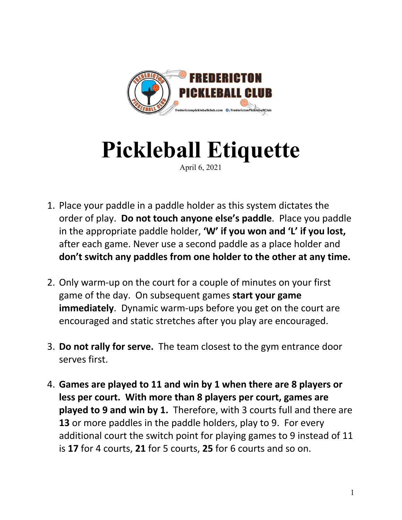

## **Pickleball Etiquette**

April 6, 2021

- 1. Place your paddle in a paddle holder as this system dictates the order of play. **Do not touch anyone else's paddle**. Place you paddle in the appropriate paddle holder, **'W' if you won and 'L' if you lost,** after each game. Never use a second paddle as a place holder and **don't switch any paddles from one holder to the other at any time.**
- 2. Only warm-up on the court for a couple of minutes on your first game of the day. On subsequent games **start your game immediately**. Dynamic warm-ups before you get on the court are encouraged and static stretches after you play are encouraged.
- 3. **Do not rally for serve.** The team closest to the gym entrance door serves first.
- 4. **Games are played to 11 and win by 1 when there are 8 players or less per court. With more than 8 players per court, games are played to 9 and win by 1.** Therefore, with 3 courts full and there are **13** or more paddles in the paddle holders, play to 9. For every additional court the switch point for playing games to 9 instead of 11 is **17** for 4 courts, **21** for 5 courts, **25** for 6 courts and so on.